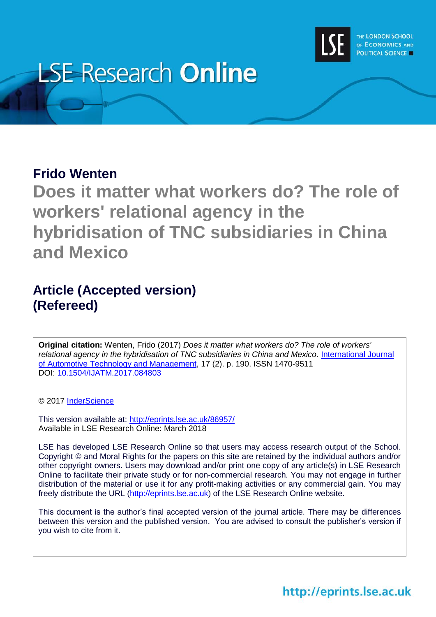

# **LSE Research Online**

## **Frido Wenten**

**Does it matter what workers do? The role of workers' relational agency in the hybridisation of TNC subsidiaries in China and Mexico**

# **Article (Accepted version) (Refereed)**

**Original citation:** Wenten, Frido (2017) *Does it matter what workers do? The role of workers' relational agency in the hybridisation of TNC subsidiaries in China and Mexico.* [International Journal](http://www.inderscience.com/jhome.php?jcode=ijatm)  [of Automotive Technology and Management,](http://www.inderscience.com/jhome.php?jcode=ijatm) 17 (2). p. 190. ISSN 1470-9511 DOI: [10.1504/IJATM.2017.084803](http://dx.doi.org/10.1504/IJATM.2017.084803)

© 2017 [InderScience](http://www.inderscience.com/)

This version available at:<http://eprints.lse.ac.uk/86957/> Available in LSE Research Online: March 2018

LSE has developed LSE Research Online so that users may access research output of the School. Copyright © and Moral Rights for the papers on this site are retained by the individual authors and/or other copyright owners. Users may download and/or print one copy of any article(s) in LSE Research Online to facilitate their private study or for non-commercial research. You may not engage in further distribution of the material or use it for any profit-making activities or any commercial gain. You may freely distribute the URL (http://eprints.lse.ac.uk) of the LSE Research Online website.

This document is the author's final accepted version of the journal article. There may be differences between this version and the published version. You are advised to consult the publisher's version if you wish to cite from it.

# http://eprints.lse.ac.uk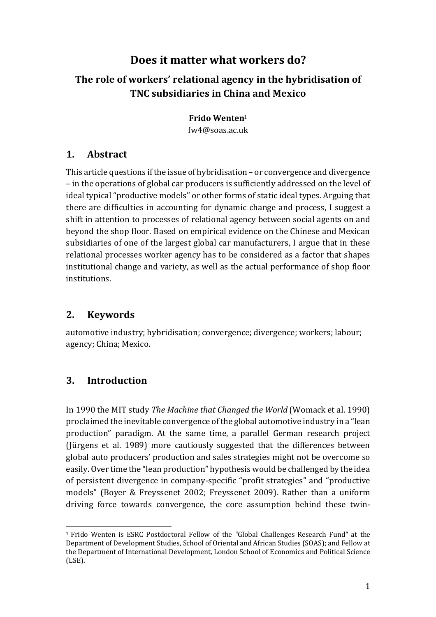## **Does it matter what workers do?**

## **The role of workers' relational agency in the hybridisation of TNC subsidiaries in China and Mexico**

**Frido Wenten**<sup>1</sup> fw4@soas.ac.uk

## **1. Abstract**

This article questions if the issue of hybridisation  $-$  or convergence and divergence – in the operations of global car producers is sufficiently addressed on the level of ideal typical "productive models" or other forms of static ideal types. Arguing that there are difficulties in accounting for dynamic change and process, I suggest a shift in attention to processes of relational agency between social agents on and beyond the shop floor. Based on empirical evidence on the Chinese and Mexican subsidiaries of one of the largest global car manufacturers, I argue that in these relational processes worker agency has to be considered as a factor that shapes institutional change and variety, as well as the actual performance of shop floor institutions. 

## **2. Keywords**

automotive industry; hybridisation; convergence; divergence; workers; labour; agency; China; Mexico.

## **3. Introduction**

 

In 1990 the MIT study *The Machine that Changed the World* (Womack et al. 1990) proclaimed the inevitable convergence of the global automotive industry in a "lean production" paradigm. At the same time, a parallel German research project (Jürgens et al. 1989) more cautiously suggested that the differences between global auto producers' production and sales strategies might not be overcome so easily. Over time the "lean production" hypothesis would be challenged by the idea of persistent divergence in company-specific "profit strategies" and "productive models" (Boyer & Freyssenet 2002; Freyssenet 2009). Rather than a uniform driving force towards convergence, the core assumption behind these twin-

 $1$  Frido Wenten is ESRC Postdoctoral Fellow of the "Global Challenges Research Fund" at the Department of Development Studies, School of Oriental and African Studies (SOAS); and Fellow at the Department of International Development, London School of Economics and Political Science (LSE).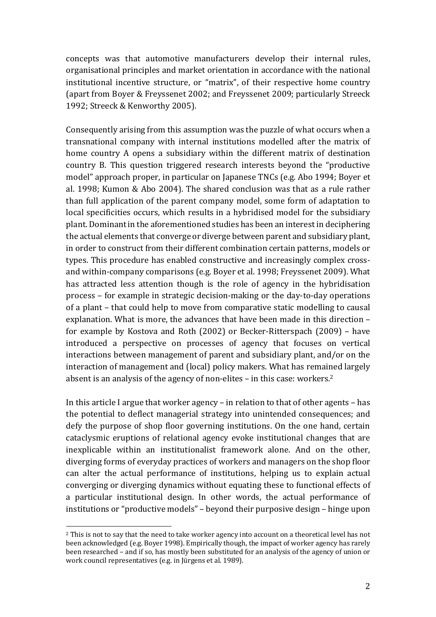concepts was that automotive manufacturers develop their internal rules, organisational principles and market orientation in accordance with the national institutional incentive structure, or "matrix", of their respective home country (apart from Boyer & Freyssenet 2002; and Freyssenet 2009; particularly Streeck 1992; Streeck & Kenworthy 2005).

Consequently arising from this assumption was the puzzle of what occurs when a transnational company with internal institutions modelled after the matrix of home country A opens a subsidiary within the different matrix of destination country B. This question triggered research interests beyond the "productive" model" approach proper, in particular on Japanese TNCs (e.g. Abo 1994; Boyer et al. 1998: Kumon & Abo 2004). The shared conclusion was that as a rule rather than full application of the parent company model, some form of adaptation to local specificities occurs, which results in a hybridised model for the subsidiary plant. Dominant in the aforementioned studies has been an interest in deciphering the actual elements that converge or diverge between parent and subsidiary plant, in order to construct from their different combination certain patterns, models or types. This procedure has enabled constructive and increasingly complex crossand within-company comparisons (e.g. Boyer et al. 1998; Freyssenet 2009). What has attracted less attention though is the role of agency in the hybridisation process – for example in strategic decision-making or the day-to-day operations of a plant – that could help to move from comparative static modelling to causal explanation. What is more, the advances that have been made in this direction  $$ for example by Kostova and Roth (2002) or Becker-Ritterspach (2009) – have introduced a perspective on processes of agency that focuses on vertical interactions between management of parent and subsidiary plant, and/or on the interaction of management and (local) policy makers. What has remained largely absent is an analysis of the agency of non-elites  $-$  in this case: workers.<sup>2</sup>

In this article I argue that worker agency  $-$  in relation to that of other agents  $-$  has the potential to deflect managerial strategy into unintended consequences; and defy the purpose of shop floor governing institutions. On the one hand, certain cataclysmic eruptions of relational agency evoke institutional changes that are inexplicable within an institutionalist framework alone. And on the other, diverging forms of everyday practices of workers and managers on the shop floor can alter the actual performance of institutions, helping us to explain actual converging or diverging dynamics without equating these to functional effects of a particular institutional design. In other words, the actual performance of institutions or "productive models" – beyond their purposive design – hinge upon

<sup>&</sup>lt;sup>2</sup> This is not to say that the need to take worker agency into account on a theoretical level has not been acknowledged (e.g. Boyer 1998). Empirically though, the impact of worker agency has rarely been researched - and if so, has mostly been substituted for an analysis of the agency of union or work council representatives (e.g. in Jürgens et al. 1989).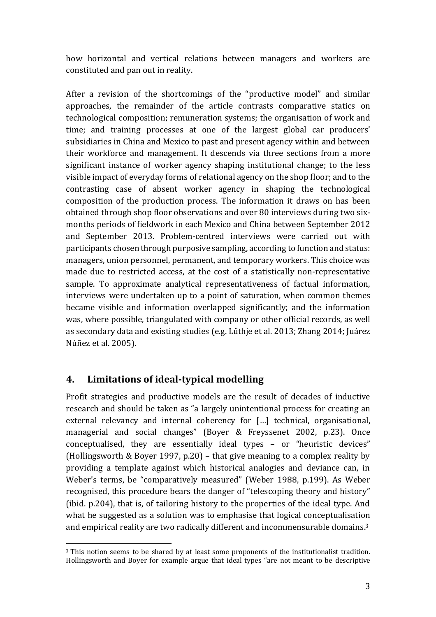how horizontal and vertical relations between managers and workers are constituted and pan out in reality.

After a revision of the shortcomings of the "productive model" and similar approaches, the remainder of the article contrasts comparative statics on technological composition; remuneration systems; the organisation of work and time; and training processes at one of the largest global car producers' subsidiaries in China and Mexico to past and present agency within and between their workforce and management. It descends via three sections from a more significant instance of worker agency shaping institutional change; to the less visible impact of everyday forms of relational agency on the shop floor; and to the contrasting case of absent worker agency in shaping the technological composition of the production process. The information it draws on has been obtained through shop floor observations and over 80 interviews during two sixmonths periods of fieldwork in each Mexico and China between September 2012 and September 2013. Problem-centred interviews were carried out with participants chosen through purposive sampling, according to function and status: managers, union personnel, permanent, and temporary workers. This choice was made due to restricted access, at the cost of a statistically non-representative sample. To approximate analytical representativeness of factual information, interviews were undertaken up to a point of saturation, when common themes became visible and information overlapped significantly; and the information was, where possible, triangulated with company or other official records, as well as secondary data and existing studies (e.g. Lüthje et al. 2013; Zhang 2014; Juárez Núñez et al. 2005).

## **4.** Limitations of ideal-typical modelling

 

Profit strategies and productive models are the result of decades of inductive research and should be taken as "a largely unintentional process for creating an external relevancy and internal coherency for [...] technical, organisational, managerial and social changes" (Boyer & Freyssenet 2002, p.23). Once conceptualised, they are essentially ideal types - or "heuristic devices" (Hollingsworth & Boyer 1997, p.20) – that give meaning to a complex reality by providing a template against which historical analogies and deviance can, in Weber's terms, be "comparatively measured" (Weber 1988, p.199). As Weber recognised, this procedure bears the danger of "telescoping theory and history" (ibid.  $p.204$ ), that is, of tailoring history to the properties of the ideal type. And what he suggested as a solution was to emphasise that logical conceptualisation and empirical reality are two radically different and incommensurable domains.<sup>3</sup>

<sup>&</sup>lt;sup>3</sup> This notion seems to be shared by at least some proponents of the institutionalist tradition. Hollingsworth and Boyer for example argue that ideal types "are not meant to be descriptive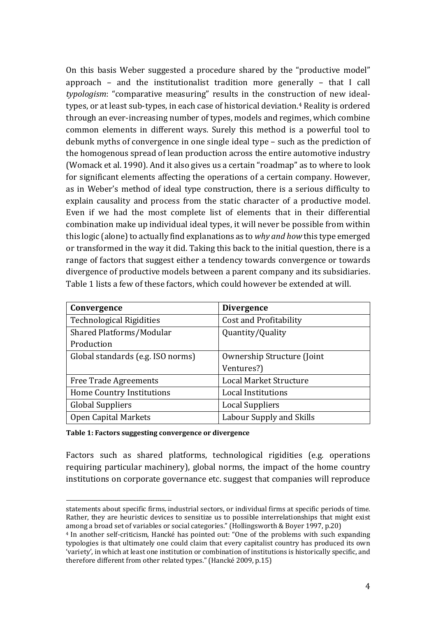On this basis Weber suggested a procedure shared by the "productive model" approach - and the institutionalist tradition more generally - that I call *typologism*: "comparative measuring" results in the construction of new idealtypes, or at least sub-types, in each case of historical deviation.<sup>4</sup> Reality is ordered through an ever-increasing number of types, models and regimes, which combine common elements in different ways. Surely this method is a powerful tool to debunk myths of convergence in one single ideal type  $-$  such as the prediction of the homogenous spread of lean production across the entire automotive industry (Womack et al. 1990). And it also gives us a certain "roadmap" as to where to look for significant elements affecting the operations of a certain company. However, as in Weber's method of ideal type construction, there is a serious difficulty to explain causality and process from the static character of a productive model. Even if we had the most complete list of elements that in their differential combination make up individual ideal types, it will never be possible from within this logic (alone) to actually find explanations as to *why and how* this type emerged or transformed in the way it did. Taking this back to the initial question, there is a range of factors that suggest either a tendency towards convergence or towards divergence of productive models between a parent company and its subsidiaries. Table 1 lists a few of these factors, which could however be extended at will.

| Convergence                       | <b>Divergence</b>             |
|-----------------------------------|-------------------------------|
| <b>Technological Rigidities</b>   | <b>Cost and Profitability</b> |
| Shared Platforms/Modular          | Quantity/Quality              |
| Production                        |                               |
| Global standards (e.g. ISO norms) | Ownership Structure (Joint    |
|                                   | Ventures?)                    |
| <b>Free Trade Agreements</b>      | <b>Local Market Structure</b> |
| <b>Home Country Institutions</b>  | Local Institutions            |
| <b>Global Suppliers</b>           | Local Suppliers               |
| Open Capital Markets              | Labour Supply and Skills      |

#### Table 1: Factors suggesting convergence or divergence

 

Factors such as shared platforms, technological rigidities (e.g. operations requiring particular machinery), global norms, the impact of the home country institutions on corporate governance etc. suggest that companies will reproduce

statements about specific firms, industrial sectors, or individual firms at specific periods of time. Rather, they are heuristic devices to sensitize us to possible interrelationships that might exist among a broad set of variables or social categories." (Hollingsworth & Boyer 1997, p.20)

<sup>&</sup>lt;sup>4</sup> In another self-criticism, Hancké has pointed out: "One of the problems with such expanding typologies is that ultimately one could claim that every capitalist country has produced its own 'variety', in which at least one institution or combination of institutions is historically specific, and therefore different from other related types." (Hancké 2009, p.15)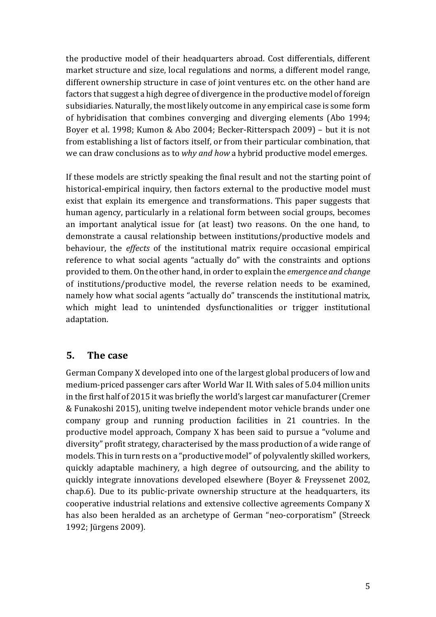the productive model of their headquarters abroad. Cost differentials, different market structure and size, local regulations and norms, a different model range, different ownership structure in case of joint ventures etc. on the other hand are factors that suggest a high degree of divergence in the productive model of foreign subsidiaries. Naturally, the most likely outcome in any empirical case is some form of hybridisation that combines converging and diverging elements (Abo 1994; Boyer et al. 1998; Kumon & Abo 2004; Becker-Ritterspach 2009) - but it is not from establishing a list of factors itself, or from their particular combination, that we can draw conclusions as to *why and how* a hybrid productive model emerges.

If these models are strictly speaking the final result and not the starting point of historical-empirical inquiry, then factors external to the productive model must exist that explain its emergence and transformations. This paper suggests that human agency, particularly in a relational form between social groups, becomes an important analytical issue for (at least) two reasons. On the one hand, to demonstrate a causal relationship between institutions/productive models and behaviour, the *effects* of the institutional matrix require occasional empirical reference to what social agents "actually do" with the constraints and options provided to them. On the other hand, in order to explain the *emergence and change* of institutions/productive model, the reverse relation needs to be examined, namely how what social agents "actually do" transcends the institutional matrix, which might lead to unintended dysfunctionalities or trigger institutional adaptation. 

## **5. The case**

German Company X developed into one of the largest global producers of low and medium-priced passenger cars after World War II. With sales of 5.04 million units in the first half of 2015 it was briefly the world's largest car manufacturer (Cremer & Funakoshi 2015), uniting twelve independent motor vehicle brands under one company group and running production facilities in 21 countries. In the productive model approach, Company X has been said to pursue a "volume and diversity" profit strategy, characterised by the mass production of a wide range of models. This in turn rests on a "productive model" of polyvalently skilled workers, quickly adaptable machinery, a high degree of outsourcing, and the ability to quickly integrate innovations developed elsewhere (Boyer & Freyssenet 2002, chap.6). Due to its public-private ownership structure at the headquarters, its cooperative industrial relations and extensive collective agreements Company X has also been heralded as an archetype of German "neo-corporatism" (Streeck 1992; Jürgens 2009).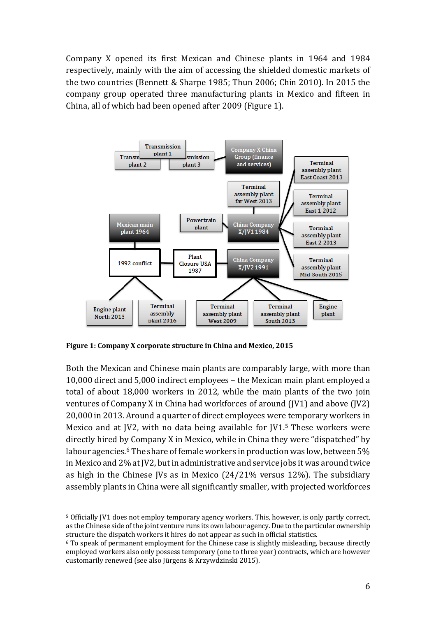Company X opened its first Mexican and Chinese plants in 1964 and 1984 respectively, mainly with the aim of accessing the shielded domestic markets of the two countries (Bennett & Sharpe 1985; Thun 2006; Chin 2010). In 2015 the company group operated three manufacturing plants in Mexico and fifteen in China, all of which had been opened after 2009 (Figure 1).



Figure 1: Company X corporate structure in China and Mexico, 2015

 

Both the Mexican and Chinese main plants are comparably large, with more than 10,000 direct and 5,000 indirect employees – the Mexican main plant employed a total of about 18,000 workers in 2012, while the main plants of the two join ventures of Company X in China had workforces of around  $(IV1)$  and above  $(IV2)$ 20,000 in 2013. Around a quarter of direct employees were temporary workers in Mexico and at JV2, with no data being available for  $\frac{1}{10}$ .<sup>5</sup> These workers were directly hired by Company X in Mexico, while in China they were "dispatched" by labour agencies.<sup>6</sup> The share of female workers in production was low, between 5% in Mexico and 2% at JV2, but in administrative and service jobs it was around twice as high in the Chinese JVs as in Mexico  $(24/21\% \text{ versus } 12\%)$ . The subsidiary assembly plants in China were all significantly smaller, with projected workforces

<sup>&</sup>lt;sup>5</sup> Officially *JV1* does not employ temporary agency workers. This, however, is only partly correct, as the Chinese side of the joint venture runs its own labour agency. Due to the particular ownership structure the dispatch workers it hires do not appear as such in official statistics.

 $6$  To speak of permanent employment for the Chinese case is slightly misleading, because directly employed workers also only possess temporary (one to three year) contracts, which are however customarily renewed (see also Jürgens & Krzywdzinski 2015).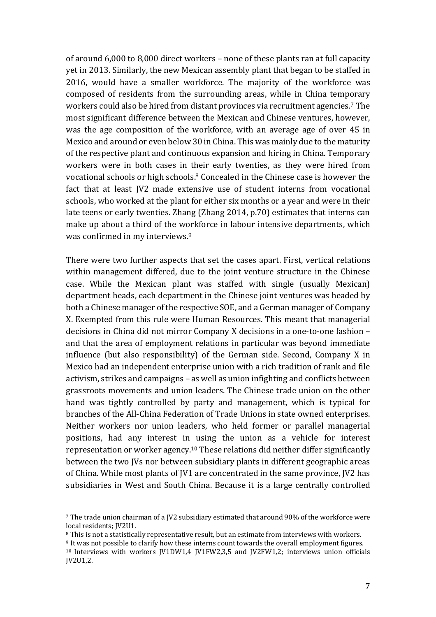of around  $6,000$  to  $8,000$  direct workers – none of these plants ran at full capacity yet in 2013. Similarly, the new Mexican assembly plant that began to be staffed in 2016, would have a smaller workforce. The majority of the workforce was composed of residents from the surrounding areas, while in China temporary workers could also be hired from distant provinces via recruitment agencies.<sup>7</sup> The most significant difference between the Mexican and Chinese ventures, however, was the age composition of the workforce, with an average age of over 45 in Mexico and around or even below 30 in China. This was mainly due to the maturity of the respective plant and continuous expansion and hiring in China. Temporary workers were in both cases in their early twenties, as they were hired from vocational schools or high schools.<sup>8</sup> Concealed in the Chinese case is however the fact that at least IV2 made extensive use of student interns from vocational schools, who worked at the plant for either six months or a year and were in their late teens or early twenties. Zhang (Zhang 2014, p.70) estimates that interns can make up about a third of the workforce in labour intensive departments, which was confirmed in my interviews.<sup>9</sup>

There were two further aspects that set the cases apart. First, vertical relations within management differed, due to the joint venture structure in the Chinese case. While the Mexican plant was staffed with single (usually Mexican) department heads, each department in the Chinese joint ventures was headed by both a Chinese manager of the respective SOE, and a German manager of Company X. Exempted from this rule were Human Resources. This meant that managerial decisions in China did not mirror Company X decisions in a one-to-one fashion – and that the area of employment relations in particular was beyond immediate influence (but also responsibility) of the German side. Second, Company  $X$  in Mexico had an independent enterprise union with a rich tradition of rank and file activism, strikes and campaigns - as well as union infighting and conflicts between grassroots movements and union leaders. The Chinese trade union on the other hand was tightly controlled by party and management, which is typical for branches of the All-China Federation of Trade Unions in state owned enterprises. Neither workers nor union leaders, who held former or parallel managerial positions, had any interest in using the union as a vehicle for interest representation or worker agency.<sup>10</sup> These relations did neither differ significantly between the two JVs nor between subsidiary plants in different geographic areas of China. While most plants of JV1 are concentrated in the same province, JV2 has subsidiaries in West and South China. Because it is a large centrally controlled

 $7$  The trade union chairman of a JV2 subsidiary estimated that around 90% of the workforce were local residents; JV2U1.

 $8$  This is not a statistically representative result, but an estimate from interviews with workers.

 $9$  It was not possible to clarify how these interns count towards the overall employment figures.

<sup>&</sup>lt;sup>10</sup> Interviews with workers JV1DW1,4 JV1FW2,3,5 and JV2FW1,2; interviews union officials JV2U1,2.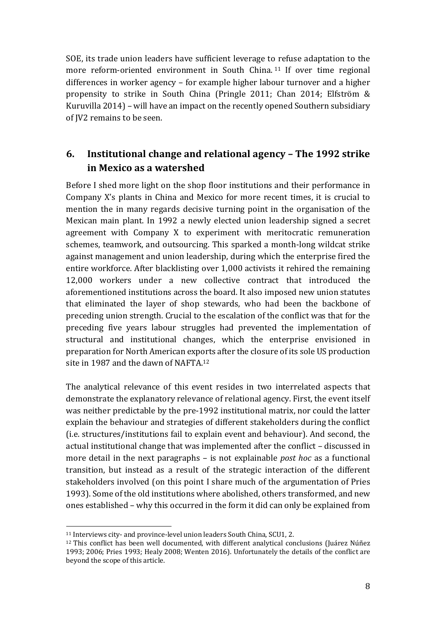SOE, its trade union leaders have sufficient leverage to refuse adaptation to the more reform-oriented environment in South China.<sup>11</sup> If over time regional differences in worker agency – for example higher labour turnover and a higher propensity to strike in South China (Pringle 2011; Chan 2014; Elfström & Kuruvilla  $2014$ ) – will have an impact on the recently opened Southern subsidiary of JV2 remains to be seen.

## **6. Institutional change and relational agency – The 1992 strike in Mexico as a watershed**

Before I shed more light on the shop floor institutions and their performance in Company X's plants in China and Mexico for more recent times, it is crucial to mention the in many regards decisive turning point in the organisation of the Mexican main plant. In 1992 a newly elected union leadership signed a secret agreement with Company X to experiment with meritocratic remuneration schemes, teamwork, and outsourcing. This sparked a month-long wildcat strike against management and union leadership, during which the enterprise fired the entire workforce. After blacklisting over 1,000 activists it rehired the remaining 12,000 workers under a new collective contract that introduced the aforementioned institutions across the board. It also imposed new union statutes that eliminated the layer of shop stewards, who had been the backbone of preceding union strength. Crucial to the escalation of the conflict was that for the preceding five years labour struggles had prevented the implementation of structural and institutional changes, which the enterprise envisioned in preparation for North American exports after the closure of its sole US production site in 1987 and the dawn of NAFTA.<sup>12</sup>

The analytical relevance of this event resides in two interrelated aspects that demonstrate the explanatory relevance of relational agency. First, the event itself was neither predictable by the pre-1992 institutional matrix, nor could the latter explain the behaviour and strategies of different stakeholders during the conflict (i.e. structures/institutions fail to explain event and behaviour). And second, the actual institutional change that was implemented after the conflict – discussed in more detail in the next paragraphs – is not explainable *post hoc* as a functional transition, but instead as a result of the strategic interaction of the different stakeholders involved (on this point I share much of the argumentation of Pries 1993). Some of the old institutions where abolished, others transformed, and new ones established – why this occurred in the form it did can only be explained from

<sup>&</sup>lt;sup>11</sup> Interviews city- and province-level union leaders South China, SCU1, 2.

 $12$  This conflict has been well documented, with different analytical conclusions (Juárez Núñez 1993; 2006; Pries 1993; Healy 2008; Wenten 2016). Unfortunately the details of the conflict are beyond the scope of this article.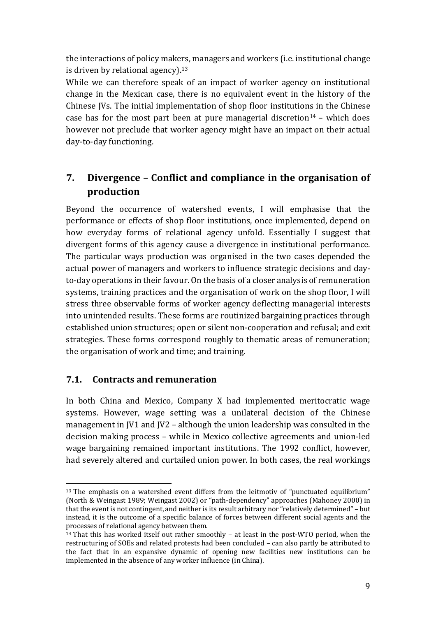the interactions of policy makers, managers and workers (i.e. institutional change is driven by relational agency). $13$ 

While we can therefore speak of an impact of worker agency on institutional change in the Mexican case, there is no equivalent event in the history of the Chinese JVs. The initial implementation of shop floor institutions in the Chinese case has for the most part been at pure managerial discretion<sup>14</sup> – which does however not preclude that worker agency might have an impact on their actual day-to-day functioning.

## **7.** Divergence – Conflict and compliance in the organisation of **production**

Beyond the occurrence of watershed events, I will emphasise that the performance or effects of shop floor institutions, once implemented, depend on how everyday forms of relational agency unfold. Essentially I suggest that divergent forms of this agency cause a divergence in institutional performance. The particular ways production was organised in the two cases depended the actual power of managers and workers to influence strategic decisions and dayto-day operations in their favour. On the basis of a closer analysis of remuneration systems, training practices and the organisation of work on the shop floor, I will stress three observable forms of worker agency deflecting managerial interests into unintended results. These forms are routinized bargaining practices through established union structures; open or silent non-cooperation and refusal; and exit strategies. These forms correspond roughly to thematic areas of remuneration; the organisation of work and time; and training.

## **7.1. Contracts and remuneration**

 

In both China and Mexico, Company X had implemented meritocratic wage systems. However, wage setting was a unilateral decision of the Chinese management in JV1 and JV2 – although the union leadership was consulted in the decision making process - while in Mexico collective agreements and union-led wage bargaining remained important institutions. The 1992 conflict, however, had severely altered and curtailed union power. In both cases, the real workings

 $13$  The emphasis on a watershed event differs from the leitmotiv of "punctuated equilibrium" (North & Weingast 1989; Weingast 2002) or "path-dependency" approaches (Mahoney 2000) in that the event is not contingent, and neither is its result arbitrary nor "relatively determined" - but instead, it is the outcome of a specific balance of forces between different social agents and the processes of relational agency between them.

 $14$  That this has worked itself out rather smoothly – at least in the post-WTO period, when the restructuring of SOEs and related protests had been concluded - can also partly be attributed to the fact that in an expansive dynamic of opening new facilities new institutions can be implemented in the absence of any worker influence (in China).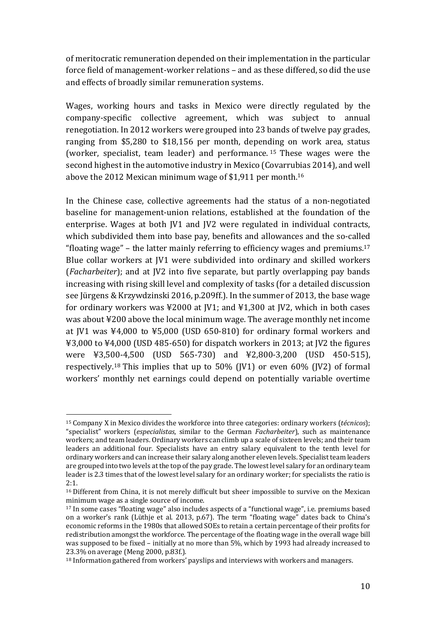of meritocratic remuneration depended on their implementation in the particular force field of management-worker relations – and as these differed, so did the use and effects of broadly similar remuneration systems.

Wages, working hours and tasks in Mexico were directly regulated by the company-specific collective agreement, which was subject to annual renegotiation. In 2012 workers were grouped into 23 bands of twelve pay grades, ranging from  $$5,280$  to  $$18,156$  per month, depending on work area, status (worker, specialist, team leader) and performance.<sup>15</sup> These wages were the second highest in the automotive industry in Mexico (Covarrubias 2014), and well above the 2012 Mexican minimum wage of \$1,911 per month.<sup>16</sup>

In the Chinese case, collective agreements had the status of a non-negotiated baseline for management-union relations, established at the foundation of the enterprise. Wages at both JV1 and JV2 were regulated in individual contracts, which subdivided them into base pay, benefits and allowances and the so-called "floating wage" – the latter mainly referring to efficiency wages and premiums.<sup>17</sup> Blue collar workers at JV1 were subdivided into ordinary and skilled workers (*Facharbeiter*); and at JV2 into five separate, but partly overlapping pay bands increasing with rising skill level and complexity of tasks (for a detailed discussion see Jürgens & Krzywdzinski 2016, p.209ff.). In the summer of 2013, the base wage for ordinary workers was  $42000$  at JV1; and  $41,300$  at JV2, which in both cases was about ¥200 above the local minimum wage. The average monthly net income at JV1 was  $44,000$  to  $45,000$  (USD 650-810) for ordinary formal workers and  $\text{\texttt{43,000}}$  to  $\text{\texttt{44,000}}$  (USD 485-650) for dispatch workers in 2013; at JV2 the figures were \{\partigmags}3,500-4,500 (USD 565-730) and \\partigmags2,800-3,200 (USD 450-515), respectively.<sup>18</sup> This implies that up to  $50\%$  (JV1) or even  $60\%$  (JV2) of formal workers' monthly net earnings could depend on potentially variable overtime

 $15$  Company X in Mexico divides the workforce into three categories: ordinary workers *(técnicos*); "specialist<sup>"</sup> workers (*especialistas*, similar to the German *Facharbeiter*), such as maintenance workers; and team leaders. Ordinary workers can climb up a scale of sixteen levels; and their team leaders an additional four. Specialists have an entry salary equivalent to the tenth level for ordinary workers and can increase their salary along another eleven levels. Specialist team leaders are grouped into two levels at the top of the pay grade. The lowest level salary for an ordinary team leader is 2.3 times that of the lowest level salary for an ordinary worker; for specialists the ratio is 2:1. 

<sup>&</sup>lt;sup>16</sup> Different from China, it is not merely difficult but sheer impossible to survive on the Mexican minimum wage as a single source of income.

<sup>&</sup>lt;sup>17</sup> In some cases "floating wage" also includes aspects of a "functional wage", i.e. premiums based on a worker's rank (Lüthje et al. 2013, p.67). The term "floating wage" dates back to China's economic reforms in the 1980s that allowed  $SOEs$  to retain a certain percentage of their profits for redistribution amongst the workforce. The percentage of the floating wage in the overall wage bill was supposed to be fixed - initially at no more than 5%, which by 1993 had already increased to 23.3% on average (Meng 2000, p.83f.).

 $18$  Information gathered from workers' payslips and interviews with workers and managers.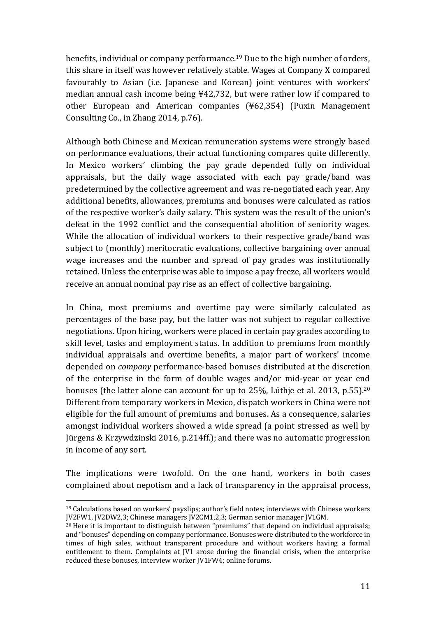benefits, individual or company performance.<sup>19</sup> Due to the high number of orders, this share in itself was however relatively stable. Wages at Company X compared favourably to Asian (i.e. Japanese and Korean) joint ventures with workers' median annual cash income being  $442,732$ , but were rather low if compared to other European and American companies (¥62,354) (Puxin Management Consulting Co., in Zhang 2014, p.76).

Although both Chinese and Mexican remuneration systems were strongly based on performance evaluations, their actual functioning compares quite differently. In Mexico workers' climbing the pay grade depended fully on individual appraisals, but the daily wage associated with each pay grade/band was predetermined by the collective agreement and was re-negotiated each vear. Any additional benefits, allowances, premiums and bonuses were calculated as ratios of the respective worker's daily salary. This system was the result of the union's defeat in the 1992 conflict and the consequential abolition of seniority wages. While the allocation of individual workers to their respective grade/band was subject to (monthly) meritocratic evaluations, collective bargaining over annual wage increases and the number and spread of pay grades was institutionally retained. Unless the enterprise was able to impose a pay freeze, all workers would receive an annual nominal pay rise as an effect of collective bargaining.

In China, most premiums and overtime pay were similarly calculated as percentages of the base pay, but the latter was not subject to regular collective negotiations. Upon hiring, workers were placed in certain pay grades according to skill level, tasks and employment status. In addition to premiums from monthly individual appraisals and overtime benefits, a major part of workers' income depended on *company* performance-based bonuses distributed at the discretion of the enterprise in the form of double wages and/or mid-year or year end bonuses (the latter alone can account for up to 25%, Lüthje et al. 2013, p.55).<sup>20</sup> Different from temporary workers in Mexico, dispatch workers in China were not eligible for the full amount of premiums and bonuses. As a consequence, salaries amongst individual workers showed a wide spread (a point stressed as well by Jürgens & Krzywdzinski 2016, p.214ff.); and there was no automatic progression in income of any sort.

The implications were twofold. On the one hand, workers in both cases complained about nepotism and a lack of transparency in the appraisal process,

<sup>&</sup>lt;sup>19</sup> Calculations based on workers' payslips; author's field notes; interviews with Chinese workers IV2FW1, IV2DW2,3; Chinese managers IV2CM1,2,3; German senior manager IV1GM.

 $^{20}$  Here it is important to distinguish between "premiums" that depend on individual appraisals; and "bonuses" depending on company performance. Bonuses were distributed to the workforce in times of high sales, without transparent procedure and without workers having a formal entitlement to them. Complaints at  $[V1]$  arose during the financial crisis, when the enterprise reduced these bonuses, interview worker JV1FW4; online forums.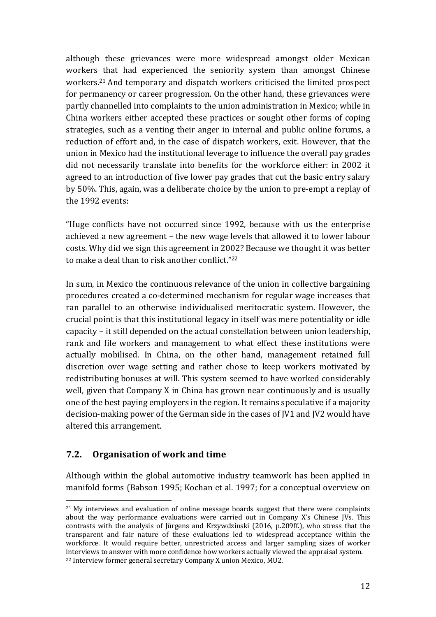although these grievances were more widespread amongst older Mexican workers that had experienced the seniority system than amongst Chinese workers.<sup>21</sup> And temporary and dispatch workers criticised the limited prospect for permanency or career progression. On the other hand, these grievances were partly channelled into complaints to the union administration in Mexico; while in China workers either accepted these practices or sought other forms of coping strategies, such as a venting their anger in internal and public online forums, a reduction of effort and, in the case of dispatch workers, exit. However, that the union in Mexico had the institutional leverage to influence the overall pay grades did not necessarily translate into benefits for the workforce either: in 2002 it agreed to an introduction of five lower pay grades that cut the basic entry salary by 50%. This, again, was a deliberate choice by the union to pre-empt a replay of the 1992 events:

"Huge conflicts have not occurred since 1992, because with us the enterprise achieved a new agreement - the new wage levels that allowed it to lower labour costs. Why did we sign this agreement in 2002? Because we thought it was better to make a deal than to risk another conflict."<sup>22</sup>

In sum, in Mexico the continuous relevance of the union in collective bargaining procedures created a co-determined mechanism for regular wage increases that ran parallel to an otherwise individualised meritocratic system. However, the crucial point is that this institutional legacy in itself was mere potentiality or idle capacity – it still depended on the actual constellation between union leadership, rank and file workers and management to what effect these institutions were actually mobilised. In China, on the other hand, management retained full discretion over wage setting and rather chose to keep workers motivated by redistributing bonuses at will. This system seemed to have worked considerably well, given that Company X in China has grown near continuously and is usually one of the best paying employers in the region. It remains speculative if a majority decision-making power of the German side in the cases of JV1 and JV2 would have altered this arrangement.

## **7.2. Organisation of work and time**

 

Although within the global automotive industry teamwork has been applied in manifold forms (Babson 1995; Kochan et al. 1997; for a conceptual overview on

<sup>&</sup>lt;sup>21</sup> My interviews and evaluation of online message boards suggest that there were complaints about the way performance evaluations were carried out in Company X's Chinese *JVs.* This contrasts with the analysis of Jürgens and Krzywdzinski  $(2016, p.209\text{ff})$ , who stress that the transparent and fair nature of these evaluations led to widespread acceptance within the workforce. It would require better, unrestricted access and larger sampling sizes of worker interviews to answer with more confidence how workers actually viewed the appraisal system.  $22$  Interview former general secretary Company X union Mexico, MU2.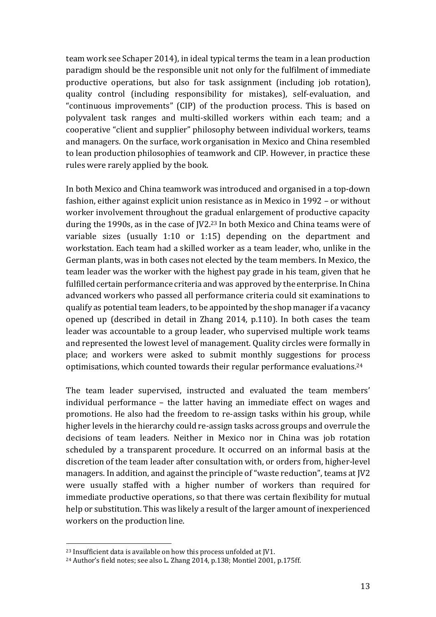team work see Schaper 2014), in ideal typical terms the team in a lean production paradigm should be the responsible unit not only for the fulfilment of immediate productive operations, but also for task assignment (including job rotation), quality control (including responsibility for mistakes), self-evaluation, and "continuous improvements" (CIP) of the production process. This is based on polyvalent task ranges and multi-skilled workers within each team; and a cooperative "client and supplier" philosophy between individual workers, teams and managers. On the surface, work organisation in Mexico and China resembled to lean production philosophies of teamwork and CIP. However, in practice these rules were rarely applied by the book.

In both Mexico and China teamwork was introduced and organised in a top-down fashion, either against explicit union resistance as in Mexico in 1992 – or without worker involvement throughout the gradual enlargement of productive capacity during the 1990s, as in the case of JV2.<sup>23</sup> In both Mexico and China teams were of variable sizes (usually  $1:10$  or  $1:15$ ) depending on the department and workstation. Each team had a skilled worker as a team leader, who, unlike in the German plants, was in both cases not elected by the team members. In Mexico, the team leader was the worker with the highest pay grade in his team, given that he fulfilled certain performance criteria and was approved by the enterprise. In China advanced workers who passed all performance criteria could sit examinations to qualify as potential team leaders, to be appointed by the shop manager if a vacancy opened up (described in detail in Zhang  $2014$ , p.110). In both cases the team leader was accountable to a group leader, who supervised multiple work teams and represented the lowest level of management. Quality circles were formally in place; and workers were asked to submit monthly suggestions for process optimisations, which counted towards their regular performance evaluations.<sup>24</sup>

The team leader supervised, instructed and evaluated the team members' individual performance  $-$  the latter having an immediate effect on wages and promotions. He also had the freedom to re-assign tasks within his group, while higher levels in the hierarchy could re-assign tasks across groups and overrule the decisions of team leaders. Neither in Mexico nor in China was job rotation scheduled by a transparent procedure. It occurred on an informal basis at the discretion of the team leader after consultation with, or orders from, higher-level managers. In addition, and against the principle of "waste reduction", teams at JV2 were usually staffed with a higher number of workers than required for immediate productive operations, so that there was certain flexibility for mutual help or substitution. This was likely a result of the larger amount of inexperienced workers on the production line.

 $23$  Insufficient data is available on how this process unfolded at JV1.

<sup>&</sup>lt;sup>24</sup> Author's field notes; see also L. Zhang  $2014$ , p.138; Montiel  $2001$ , p.175ff.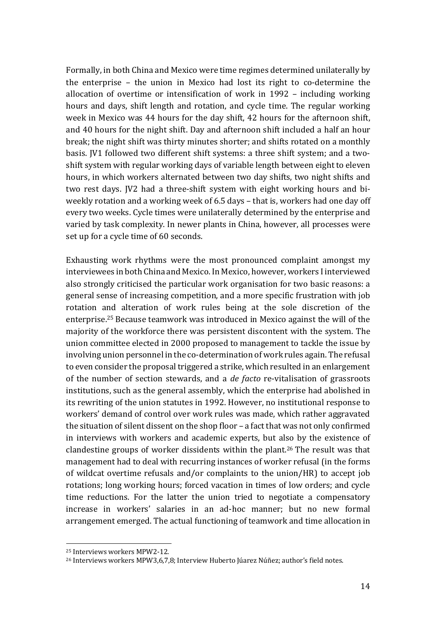Formally, in both China and Mexico were time regimes determined unilaterally by the enterprise  $-$  the union in Mexico had lost its right to co-determine the allocation of overtime or intensification of work in 1992 – including working hours and days, shift length and rotation, and cycle time. The regular working week in Mexico was 44 hours for the day shift, 42 hours for the afternoon shift, and 40 hours for the night shift. Day and afternoon shift included a half an hour break; the night shift was thirty minutes shorter; and shifts rotated on a monthly basis. JV1 followed two different shift systems: a three shift system; and a twoshift system with regular working days of variable length between eight to eleven hours, in which workers alternated between two day shifts, two night shifts and two rest days. IV2 had a three-shift system with eight working hours and biweekly rotation and a working week of 6.5 days – that is, workers had one day off every two weeks. Cycle times were unilaterally determined by the enterprise and varied by task complexity. In newer plants in China, however, all processes were set up for a cycle time of 60 seconds.

Exhausting work rhythms were the most pronounced complaint amongst my interviewees in both China and Mexico. In Mexico, however, workers I interviewed also strongly criticised the particular work organisation for two basic reasons: a general sense of increasing competition, and a more specific frustration with job rotation and alteration of work rules being at the sole discretion of the enterprise.<sup>25</sup> Because teamwork was introduced in Mexico against the will of the majority of the workforce there was persistent discontent with the system. The union committee elected in 2000 proposed to management to tackle the issue by involving union personnel in the co-determination of work rules again. The refusal to even consider the proposal triggered a strike, which resulted in an enlargement of the number of section stewards, and a *de facto* re-vitalisation of grassroots institutions, such as the general assembly, which the enterprise had abolished in its rewriting of the union statutes in 1992. However, no institutional response to workers' demand of control over work rules was made, which rather aggravated the situation of silent dissent on the shop floor  $-$  a fact that was not only confirmed in interviews with workers and academic experts, but also by the existence of clandestine groups of worker dissidents within the plant.<sup>26</sup> The result was that management had to deal with recurring instances of worker refusal (in the forms of wildcat overtime refusals and/or complaints to the union/HR) to accept job rotations; long working hours; forced vacation in times of low orders; and cycle time reductions. For the latter the union tried to negotiate a compensatory increase in workers' salaries in an ad-hoc manner; but no new formal arrangement emerged. The actual functioning of teamwork and time allocation in

 <sup>25</sup> Interviews workers MPW2-12.

 $^{26}$  Interviews workers MPW3.6.7.8; Interview Huberto Iúarez Núñez; author's field notes.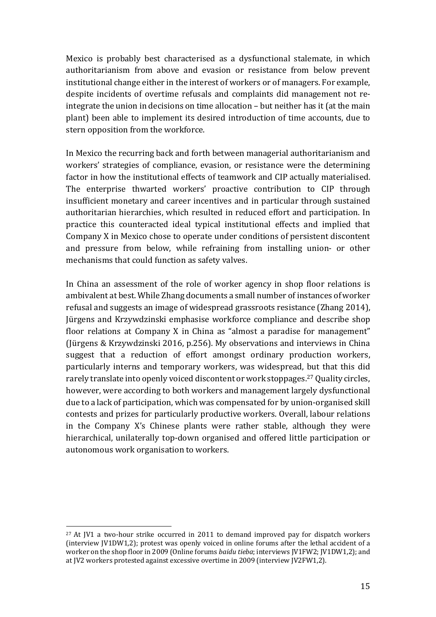Mexico is probably best characterised as a dysfunctional stalemate, in which authoritarianism from above and evasion or resistance from below prevent institutional change either in the interest of workers or of managers. For example, despite incidents of overtime refusals and complaints did management not reintegrate the union in decisions on time allocation  $-$  but neither has it (at the main plant) been able to implement its desired introduction of time accounts, due to stern opposition from the workforce.

In Mexico the recurring back and forth between managerial authoritarianism and workers' strategies of compliance, evasion, or resistance were the determining factor in how the institutional effects of teamwork and CIP actually materialised. The enterprise thwarted workers' proactive contribution to CIP through insufficient monetary and career incentives and in particular through sustained authoritarian hierarchies, which resulted in reduced effort and participation. In practice this counteracted ideal typical institutional effects and implied that Company X in Mexico chose to operate under conditions of persistent discontent and pressure from below, while refraining from installing union- or other mechanisms that could function as safety valves.

In China an assessment of the role of worker agency in shop floor relations is ambivalent at best. While Zhang documents a small number of instances of worker refusal and suggests an image of widespread grassroots resistance (Zhang 2014), Jürgens and Krzywdzinski emphasise workforce compliance and describe shop floor relations at Company X in China as "almost a paradise for management" (Jürgens & Krzywdzinski 2016, p.256). My observations and interviews in China suggest that a reduction of effort amongst ordinary production workers, particularly interns and temporary workers, was widespread, but that this did rarely translate into openly voiced discontent or work stoppages.<sup>27</sup> Quality circles, however, were according to both workers and management largely dysfunctional due to a lack of participation, which was compensated for by union-organised skill contests and prizes for particularly productive workers. Overall, labour relations in the Company X's Chinese plants were rather stable, although they were hierarchical, unilaterally top-down organised and offered little participation or autonomous work organisation to workers.

 $27$  At JV1 a two-hour strike occurred in 2011 to demand improved pay for dispatch workers (interview IV1DW1,2); protest was openly voiced in online forums after the lethal accident of a worker on the shop floor in 2009 (Online forums *baidu tieba*; interviews JV1FW2; JV1DW1,2); and at JV2 workers protested against excessive overtime in 2009 (interview JV2FW1,2).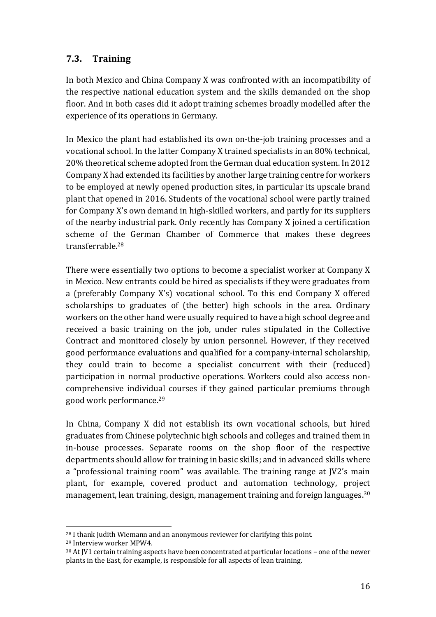## **7.3. Training**

In both Mexico and China Company X was confronted with an incompatibility of the respective national education system and the skills demanded on the shop floor. And in both cases did it adopt training schemes broadly modelled after the experience of its operations in Germany.

In Mexico the plant had established its own on-the-job training processes and a vocational school. In the latter Company X trained specialists in an 80% technical, 20% theoretical scheme adopted from the German dual education system. In 2012 Company X had extended its facilities by another large training centre for workers to be employed at newly opened production sites, in particular its upscale brand plant that opened in 2016. Students of the vocational school were partly trained for Company X's own demand in high-skilled workers, and partly for its suppliers of the nearby industrial park. Only recently has Company X joined a certification scheme of the German Chamber of Commerce that makes these degrees transferrable.28

There were essentially two options to become a specialist worker at Company X in Mexico. New entrants could be hired as specialists if they were graduates from a (preferably Company X's) vocational school. To this end Company X offered scholarships to graduates of (the better) high schools in the area. Ordinary workers on the other hand were usually required to have a high school degree and received a basic training on the job, under rules stipulated in the Collective Contract and monitored closely by union personnel. However, if they received good performance evaluations and qualified for a company-internal scholarship, they could train to become a specialist concurrent with their (reduced) participation in normal productive operations. Workers could also access noncomprehensive individual courses if they gained particular premiums through good work performance.<sup>29</sup>

In China, Company X did not establish its own vocational schools, but hired graduates from Chinese polytechnic high schools and colleges and trained them in in-house processes. Separate rooms on the shop floor of the respective departments should allow for training in basic skills; and in advanced skills where a "professional training room" was available. The training range at IV2's main plant, for example, covered product and automation technology, project management, lean training, design, management training and foreign languages.<sup>30</sup>

 $28$  I thank Judith Wiemann and an anonymous reviewer for clarifying this point.

<sup>&</sup>lt;sup>29</sup> Interview worker MPW4.

 $30$  At JV1 certain training aspects have been concentrated at particular locations – one of the newer plants in the East, for example, is responsible for all aspects of lean training.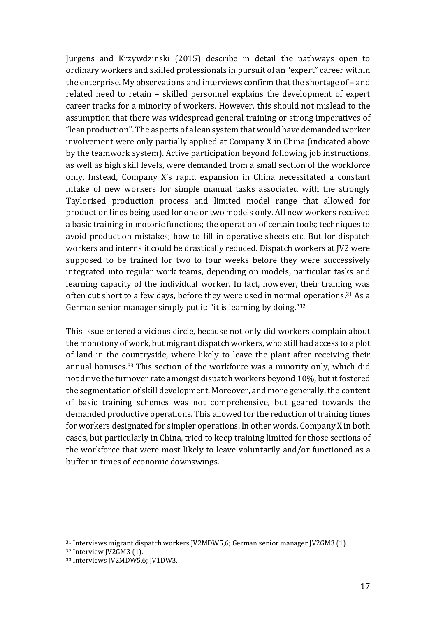Jürgens and Krzywdzinski (2015) describe in detail the pathways open to ordinary workers and skilled professionals in pursuit of an "expert" career within the enterprise. My observations and interviews confirm that the shortage of  $-$  and related need to retain  $-$  skilled personnel explains the development of expert career tracks for a minority of workers. However, this should not mislead to the assumption that there was widespread general training or strong imperatives of "lean production". The aspects of a lean system that would have demanded worker involvement were only partially applied at Company X in China (indicated above by the teamwork system). Active participation beyond following job instructions, as well as high skill levels, were demanded from a small section of the workforce only. Instead, Company X's rapid expansion in China necessitated a constant intake of new workers for simple manual tasks associated with the strongly Taylorised production process and limited model range that allowed for production lines being used for one or two models only. All new workers received a basic training in motoric functions; the operation of certain tools; techniques to avoid production mistakes; how to fill in operative sheets etc. But for dispatch workers and interns it could be drastically reduced. Dispatch workers at IV2 were supposed to be trained for two to four weeks before they were successively integrated into regular work teams, depending on models, particular tasks and learning capacity of the individual worker. In fact, however, their training was often cut short to a few days, before they were used in normal operations.<sup>31</sup> As a German senior manager simply put it: "it is learning by doing."32

This issue entered a vicious circle, because not only did workers complain about the monotony of work, but migrant dispatch workers, who still had access to a plot of land in the countryside, where likely to leave the plant after receiving their annual bonuses.<sup>33</sup> This section of the workforce was a minority only, which did not drive the turnover rate amongst dispatch workers beyond 10%, but it fostered the segmentation of skill development. Moreover, and more generally, the content of basic training schemes was not comprehensive, but geared towards the demanded productive operations. This allowed for the reduction of training times for workers designated for simpler operations. In other words, Company X in both cases, but particularly in China, tried to keep training limited for those sections of the workforce that were most likely to leave voluntarily and/or functioned as a buffer in times of economic downswings.

 $31$  Interviews migrant dispatch workers IV2MDW5.6; German senior manager IV2GM3 (1).

<sup>&</sup>lt;sup>32</sup> Interview IV2GM3 (1).

<sup>33</sup> Interviews IV2MDW5.6: IV1DW3.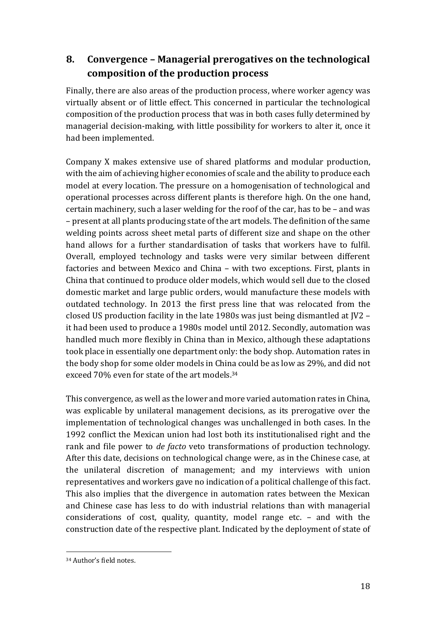## **8. Convergence – Managerial prerogatives on the technological composition of the production process**

Finally, there are also areas of the production process, where worker agency was virtually absent or of little effect. This concerned in particular the technological composition of the production process that was in both cases fully determined by managerial decision-making, with little possibility for workers to alter it, once it had been implemented.

Company X makes extensive use of shared platforms and modular production, with the aim of achieving higher economies of scale and the ability to produce each model at every location. The pressure on a homogenisation of technological and operational processes across different plants is therefore high. On the one hand, certain machinery, such a laser welding for the roof of the car, has to be - and was – present at all plants producing state of the art models. The definition of the same welding points across sheet metal parts of different size and shape on the other hand allows for a further standardisation of tasks that workers have to fulfil. Overall, employed technology and tasks were very similar between different factories and between Mexico and China - with two exceptions. First, plants in China that continued to produce older models, which would sell due to the closed domestic market and large public orders, would manufacture these models with outdated technology. In 2013 the first press line that was relocated from the closed US production facility in the late 1980s was just being dismantled at  $V^2$  – it had been used to produce a 1980s model until 2012. Secondly, automation was handled much more flexibly in China than in Mexico, although these adaptations took place in essentially one department only: the body shop. Automation rates in the body shop for some older models in China could be as low as 29%, and did not exceed 70% even for state of the art models.<sup>34</sup>

This convergence, as well as the lower and more varied automation rates in China, was explicable by unilateral management decisions, as its prerogative over the implementation of technological changes was unchallenged in both cases. In the 1992 conflict the Mexican union had lost both its institutionalised right and the rank and file power to *de facto* veto transformations of production technology. After this date, decisions on technological change were, as in the Chinese case, at the unilateral discretion of management; and my interviews with union representatives and workers gave no indication of a political challenge of this fact. This also implies that the divergence in automation rates between the Mexican and Chinese case has less to do with industrial relations than with managerial considerations of cost, quality, quantity, model range etc.  $-$  and with the construction date of the respective plant. Indicated by the deployment of state of

 $34$  Author's field notes.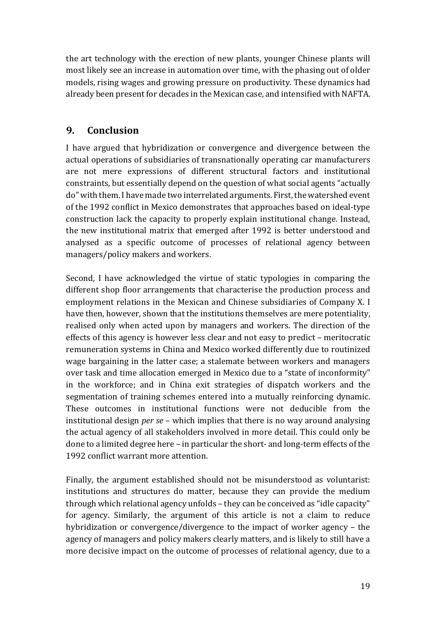the art technology with the erection of new plants, younger Chinese plants will most likely see an increase in automation over time, with the phasing out of older models, rising wages and growing pressure on productivity. These dynamics had already been present for decades in the Mexican case, and intensified with NAFTA.

## **9. Conclusion**

I have argued that hybridization or convergence and divergence between the actual operations of subsidiaries of transnationally operating car manufacturers are not mere expressions of different structural factors and institutional constraints, but essentially depend on the question of what social agents "actually do" with them. I have made two interrelated arguments. First, the watershed event of the 1992 conflict in Mexico demonstrates that approaches based on ideal-type construction lack the capacity to properly explain institutional change. Instead, the new institutional matrix that emerged after 1992 is better understood and analysed as a specific outcome of processes of relational agency between managers/policy makers and workers.

Second, I have acknowledged the virtue of static typologies in comparing the different shop floor arrangements that characterise the production process and employment relations in the Mexican and Chinese subsidiaries of Company X. I have then, however, shown that the institutions themselves are mere potentiality, realised only when acted upon by managers and workers. The direction of the effects of this agency is however less clear and not easy to predict – meritocratic remuneration systems in China and Mexico worked differently due to routinized wage bargaining in the latter case; a stalemate between workers and managers over task and time allocation emerged in Mexico due to a "state of inconformity" in the workforce; and in China exit strategies of dispatch workers and the segmentation of training schemes entered into a mutually reinforcing dynamic. These outcomes in institutional functions were not deducible from the institutional design *per se* – which implies that there is no way around analysing the actual agency of all stakeholders involved in more detail. This could only be done to a limited degree here – in particular the short- and long-term effects of the 1992 conflict warrant more attention.

Finally, the argument established should not be misunderstood as voluntarist: institutions and structures do matter, because they can provide the medium through which relational agency unfolds – they can be conceived as "idle capacity" for agency. Similarly, the argument of this article is not a claim to reduce hybridization or convergence/divergence to the impact of worker agency  $-$  the agency of managers and policy makers clearly matters, and is likely to still have a more decisive impact on the outcome of processes of relational agency, due to a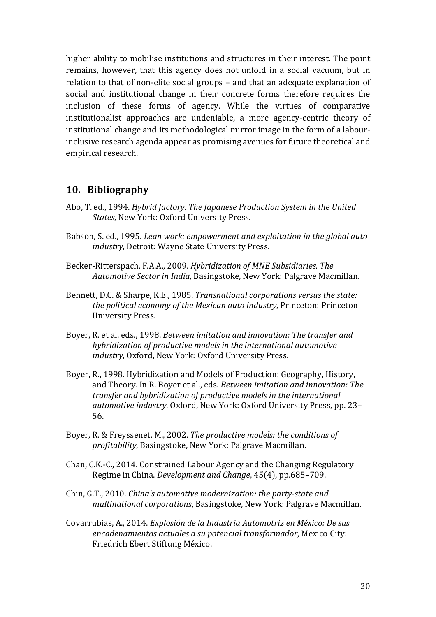higher ability to mobilise institutions and structures in their interest. The point remains, however, that this agency does not unfold in a social vacuum, but in relation to that of non-elite social groups  $-$  and that an adequate explanation of social and institutional change in their concrete forms therefore requires the inclusion of these forms of agency. While the virtues of comparative institutionalist approaches are undeniable, a more agency-centric theory of institutional change and its methodological mirror image in the form of a labourinclusive research agenda appear as promising avenues for future theoretical and empirical research.

#### **10. Bibliography**

- Abo, T. ed., 1994. *Hybrid factory. The Japanese Production System in the United* States, New York: Oxford University Press.
- Babson, S. ed., 1995. *Lean work: empowerment and exploitation in the global auto industry*, Detroit: Wayne State University Press.
- Becker-Ritterspach, F.A.A., 2009. *Hybridization of MNE Subsidiaries. The* Automotive Sector in India, Basingstoke, New York: Palgrave Macmillan.
- Bennett, D.C. & Sharpe, K.E., 1985. *Transnational corporations versus the state: the political economy of the Mexican auto industry*, Princeton: Princeton University Press.
- Boyer, R. et al. eds., 1998. *Between imitation and innovation: The transfer and* hybridization of productive models in the international automotive industry, Oxford, New York: Oxford University Press.
- Boyer, R., 1998. Hybridization and Models of Production: Geography, History, and Theory. In R. Boyer et al., eds. *Between imitation and innovation: The* transfer and hybridization of productive models in the international automotive industry. Oxford, New York: Oxford University Press, pp. 23-56.
- Boyer, R. & Freyssenet, M., 2002. *The productive models: the conditions of profitability*, Basingstoke, New York: Palgrave Macmillan.
- Chan, C.K.-C., 2014. Constrained Labour Agency and the Changing Regulatory Regime in China. *Development and Change*, 45(4), pp.685–709.
- Chin, G.T., 2010. *China's automotive modernization: the party-state and* multinational corporations, Basingstoke, New York: Palgrave Macmillan.
- Covarrubias, A., 2014. *Explosión de la Industria Automotriz en México: De sus* encadenamientos actuales a su potencial transformador, Mexico City: Friedrich Ebert Stiftung México.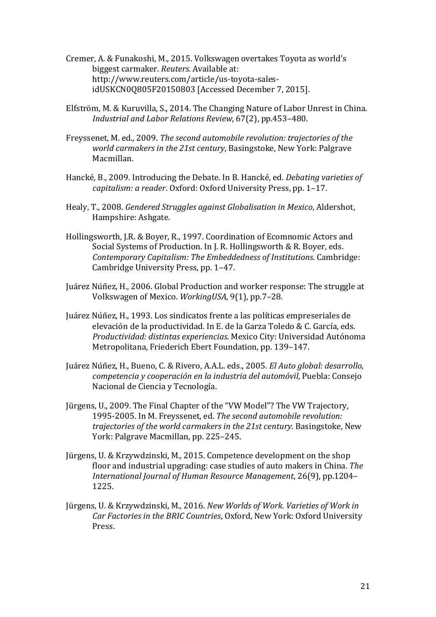- Cremer, A. & Funakoshi, M., 2015. Volkswagen overtakes Toyota as world's biggest carmaker. *Reuters*. Available at: http://www.reuters.com/article/us-toyota-salesidUSKCN0Q805F20150803 [Accessed December 7, 2015].
- Elfström, M. & Kuruvilla, S., 2014. The Changing Nature of Labor Unrest in China. *Industrial and Labor Relations Review*, 67(2), pp.453–480.
- Freyssenet, M. ed., 2009. *The second automobile revolution: trajectories of the* world carmakers in the 21st century, Basingstoke, New York: Palgrave Macmillan.
- Hancké, B., 2009. Introducing the Debate. In B. Hancké, ed. *Debating varieties of capitalism: a reader.* Oxford: Oxford University Press, pp. 1-17.
- Healy, T., 2008. *Gendered Struggles against Globalisation in Mexico*, Aldershot, Hampshire: Ashgate.
- Hollingsworth, J.R. & Boyer, R., 1997. Coordination of Ecomnomic Actors and Social Systems of Production. In J. R. Hollingsworth & R. Boyer, eds. *Contemporary Capitalism: The Embeddedness of Institutions*. Cambridge: Cambridge University Press, pp. 1-47.
- Juárez Núñez, H., 2006. Global Production and worker response: The struggle at Volkswagen of Mexico. WorkingUSA, 9(1), pp.7-28.
- Juárez Núñez, H., 1993. Los sindicatos frente a las políticas empreseriales de elevación de la productividad. In E. de la Garza Toledo & C. García, eds. *Productividad: distintas experiencias*. Mexico City: Universidad Autónoma Metropolitana, Friederich Ebert Foundation, pp. 139-147.
- Juárez Núñez, H., Bueno, C. & Rivero, A.A.L. eds., 2005. *El Auto global: desarrollo, competencia y cooperación en la industria del automóvil*, Puebla: Consejo Nacional de Ciencia y Tecnología.
- Jürgens, U., 2009. The Final Chapter of the "VW Model"? The VW Trajectory, 1995-2005. In M. Freyssenet, ed. The second automobile revolution: trajectories of the world carmakers in the 21st century. Basingstoke, New York: Palgrave Macmillan, pp. 225-245.
- Jürgens, U. & Krzywdzinski, M., 2015. Competence development on the shop floor and industrial upgrading: case studies of auto makers in China. The *International Journal of Human Resource Management*, 26(9), pp.1204– 1225.
- Jürgens, U. & Krzywdzinski, M., 2016. *New Worlds of Work. Varieties of Work in Car Factories in the BRIC Countries, Oxford, New York: Oxford University* Press.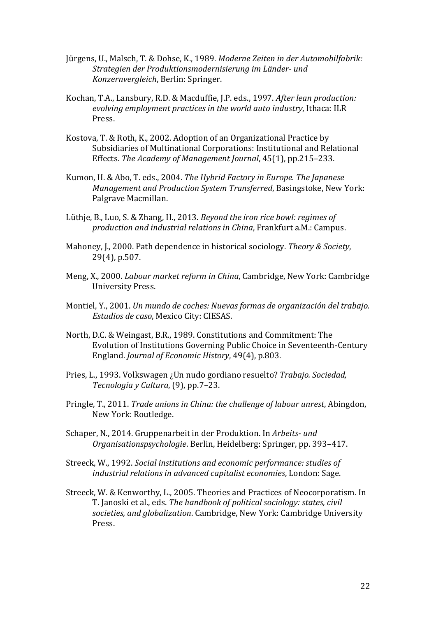- Jürgens, U., Malsch, T. & Dohse, K., 1989. Moderne Zeiten in der Automobilfabrik: *Strategien der Produktionsmodernisierung im Länder- und Konzernvergleich*, Berlin: Springer.
- Kochan, T.A., Lansbury, R.D. & Macduffie, J.P. eds., 1997. *After lean production:* evolving employment practices in the world auto industry, Ithaca: ILR Press.
- Kostova, T. & Roth, K., 2002. Adoption of an Organizational Practice by Subsidiaries of Multinational Corporations: Institutional and Relational Effects. The Academy of Management Journal, 45(1), pp.215-233.
- Kumon, H. & Abo, T. eds., 2004. *The Hybrid Factory in Europe. The Japanese Management and Production System Transferred*, Basingstoke, New York: Palgrave Macmillan.
- Lüthje, B., Luo, S. & Zhang, H., 2013. *Beyond the iron rice bowl: regimes of production and industrial relations in China*, Frankfurt a.M.: Campus.
- Mahoney, J., 2000. Path dependence in historical sociology. *Theory & Society*, 29(4), p.507.
- Meng, X., 2000. *Labour market reform in China*, Cambridge, New York: Cambridge University Press.
- Montiel, Y., 2001. *Un mundo de coches: Nuevas formas de organización del trabajo. Estudios de caso*, Mexico City: CIESAS.
- North, D.C. & Weingast, B.R., 1989. Constitutions and Commitment: The Evolution of Institutions Governing Public Choice in Seventeenth-Century England. *Journal of Economic History*, 49(4), p.803.
- Pries, L., 1993. Volkswagen ¿Un nudo gordiano resuelto? *Trabajo. Sociedad, Tecnología y Cultura*, (9), pp.7–23.
- Pringle, T., 2011. *Trade unions in China: the challenge of labour unrest*, Abingdon, New York: Routledge.
- Schaper, N., 2014. Gruppenarbeit in der Produktion. In Arbeits- und *Organisationspsychologie*. Berlin, Heidelberg: Springer, pp. 393–417.
- Streeck, W., 1992. *Social institutions and economic performance: studies of industrial relations in advanced capitalist economies*, London: Sage.
- Streeck, W. & Kenworthy, L., 2005. Theories and Practices of Neocorporatism. In T. Janoski et al., eds. *The handbook of political sociology: states, civil* societies, and globalization. Cambridge, New York: Cambridge University Press.